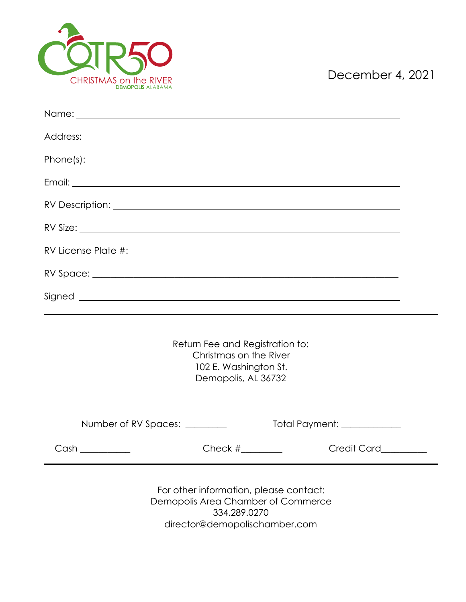

| Return Fee and Registration to:<br>Christmas on the River<br>102 E. Washington St.<br>Demopolis, AL 36732                                                                                                             |
|-----------------------------------------------------------------------------------------------------------------------------------------------------------------------------------------------------------------------|
| Total Payment: ____________<br>Number of RV Spaces: ________                                                                                                                                                          |
| $\frac{1}{\sqrt{1-\frac{1}{2}}}\left\vert \frac{1}{\sqrt{1-\frac{1}{2}}}\right\vert$ Check # $\frac{1}{\sqrt{1-\frac{1}{2}}}\left\vert \frac{1}{\sqrt{1-\frac{1}{2}}}\right\vert$<br><b>Example 2</b> Credit Card____ |
| For other information, please contact:<br>Demopolis Area Chamber of Commerce                                                                                                                                          |

334.289.0270 director@demopolischamber.com